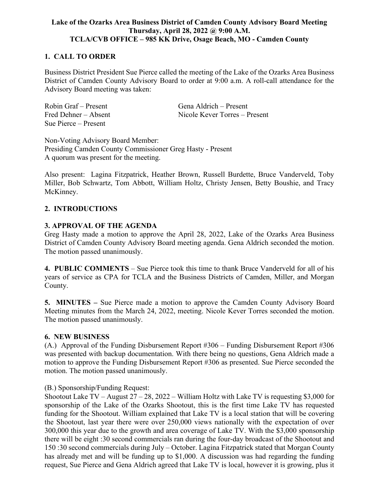# **Lake of the Ozarks Area Business District of Camden County Advisory Board Meeting Thursday, April 28, 2022 @ 9:00 A.M. TCLA/CVB OFFICE – 985 KK Drive, Osage Beach, MO - Camden County**

# **1. CALL TO ORDER**

Business District President Sue Pierce called the meeting of the Lake of the Ozarks Area Business District of Camden County Advisory Board to order at 9:00 a.m. A roll-call attendance for the Advisory Board meeting was taken:

| Robin Graf – Present | Gena Aldrich – Present        |
|----------------------|-------------------------------|
| Fred Dehner - Absent | Nicole Kever Torres – Present |
| Sue Pierce – Present |                               |

Non-Voting Advisory Board Member: Presiding Camden County Commissioner Greg Hasty - Present A quorum was present for the meeting.

Also present: Lagina Fitzpatrick, Heather Brown, Russell Burdette, Bruce Vanderveld, Toby Miller, Bob Schwartz, Tom Abbott, William Holtz, Christy Jensen, Betty Boushie, and Tracy McKinney.

#### **2. INTRODUCTIONS**

#### **3. APPROVAL OF THE AGENDA**

Greg Hasty made a motion to approve the April 28, 2022, Lake of the Ozarks Area Business District of Camden County Advisory Board meeting agenda. Gena Aldrich seconded the motion. The motion passed unanimously.

**4. PUBLIC COMMENTS** – Sue Pierce took this time to thank Bruce Vanderveld for all of his years of service as CPA for TCLA and the Business Districts of Camden, Miller, and Morgan County.

**5. MINUTES –** Sue Pierce made a motion to approve the Camden County Advisory Board Meeting minutes from the March 24, 2022, meeting. Nicole Kever Torres seconded the motion. The motion passed unanimously.

# **6. NEW BUSINESS**

(A.) Approval of the Funding Disbursement Report #306 – Funding Disbursement Report #306 was presented with backup documentation. With there being no questions, Gena Aldrich made a motion to approve the Funding Disbursement Report #306 as presented. Sue Pierce seconded the motion. The motion passed unanimously.

#### (B.) Sponsorship/Funding Request:

Shootout Lake TV – August 27 – 28, 2022 – William Holtz with Lake TV is requesting \$3,000 for sponsorship of the Lake of the Ozarks Shootout, this is the first time Lake TV has requested funding for the Shootout. William explained that Lake TV is a local station that will be covering the Shootout, last year there were over 250,000 views nationally with the expectation of over 300,000 this year due to the growth and area coverage of Lake TV. With the \$3,000 sponsorship there will be eight :30 second commercials ran during the four-day broadcast of the Shootout and 150 :30 second commercials during July – October. Lagina Fitzpatrick stated that Morgan County has already met and will be funding up to \$1,000. A discussion was had regarding the funding request, Sue Pierce and Gena Aldrich agreed that Lake TV is local, however it is growing, plus it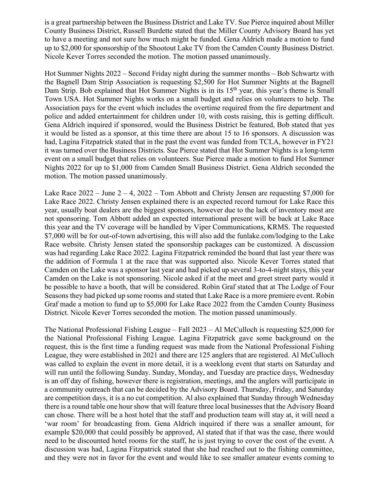is a great partnership between the Business District and Lake TV. Sue Pierce inquired about Miller County Business District, Russell Burdette stated that the Miller County Advisory Board has yet to have a meeting and not sure how much might be funded. Gena Aldrich made a motion to fund up to \$2,000 for sponsorship of the Shootout Lake TV from the Camden County Business District. Nicole Kever Torres seconded the motion. The motion passed unanimously.

Hot Summer Nights 2022 – Second Friday night during the summer months – Bob Schwartz with the Bagnell Dam Strip Association is requesting \$2,500 for Hot Summer Nights at the Bagnell Dam Strip. Bob explained that Hot Summer Nights is in its  $15<sup>th</sup>$  year, this year's theme is Small Town USA. Hot Summer Nights works on a small budget and relies on volunteers to help. The Association pays for the event which includes the overtime required from the fire department and police and added entertainment for children under 10, with costs raising, this is getting difficult. Gena Aldrich inquired if sponsored, would the Business District be featured, Bob stated that yes it would be listed as a sponsor, at this time there are about 15 to 16 sponsors. A discussion was had, Lagina Fitzpatrick stated that in the past the event was funded from TCLA, however in FY21 it was turned over the Business Districts. Sue Pierce stated that Hot Summer Nights is a long-term event on a small budget that relies on volunteers. Sue Pierce made a motion to fund Hot Summer Nights 2022 for up to \$1,000 from Camden Small Business District. Gena Aldrich seconded the motion. The motion passed unanimously.

Lake Race  $2022 - June 2 - 4$ ,  $2022 - Tom Abbott$  and Christy Jensen are requesting \$7,000 for Lake Race 2022. Christy Jensen explained there is an expected record turnout for Lake Race this year, usually boat dealers are the biggest sponsors, however due to the lack of inventory most are not sponsoring. Tom Abbott added an expected international present will be back at Lake Race this year and the TV coverage will be handled by Viper Communications, KRMS. The requested \$7,000 will be for out-of-town advertising, this will also add the funlake.com/lodging to the Lake Race website. Christy Jensen stated the sponsorship packages can be customized. A discussion was had regarding Lake Race 2022. Lagina Fitzpatrick reminded the board that last year there was the addition of Formula 1 at the race that was supported also. Nicole Kever Torres stated that Camden on the Lake was a sponsor last year and had picked up several 3-to-4-night stays, this year Camden on the Lake is not sponsoring. Nicole asked if at the meet and greet street party would it be possible to have a booth, that will be considered. Robin Graf stated that at The Lodge of Four Seasons they had picked up some rooms and stated that Lake Race is a more premiere event. Robin Graf made a motion to fund up to \$5,000 for Lake Race 2022 from the Camden County Business District. Nicole Kever Torres seconded the motion. The motion passed unanimously.

The National Professional Fishing League – Fall 2023 – Al McCulloch is requesting \$25,000 for the National Professional Fishing League. Lagina Fitzpatrick gave some background on the request, this is the first time a funding request was made from the National Professional Fishing League, they were established in 2021 and there are 125 anglers that are registered. Al McCulloch was called to explain the event in more detail, it is a weeklong event that starts on Saturday and will run until the following Sunday. Sunday, Monday, and Tuesday are practice days, Wednesday is an off day of fishing, however there is registration, meetings, and the anglers will participate in a community outreach that can be decided by the Advisory Board. Thursday, Friday, and Saturday are competition days, it is a no cut competition. Al also explained that Sunday through Wednesday there is a round table one hour show that will feature three local businesses that the Advisory Board can chose. There will be a host hotel that the staff and production team will stay at, it will need a 'war room' for broadcasting from. Gena Aldrich inquired if there was a smaller amount, for example \$20,000 that could possibly be approved, Al stated that if that was the case, there would need to be discounted hotel rooms for the staff, he is just trying to cover the cost of the event. A discussion was had, Lagina Fitzpatrick stated that she had reached out to the fishing committee, and they were not in favor for the event and would like to see smaller amateur events coming to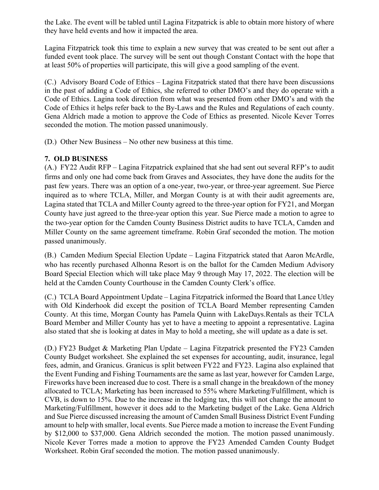the Lake. The event will be tabled until Lagina Fitzpatrick is able to obtain more history of where they have held events and how it impacted the area.

Lagina Fitzpatrick took this time to explain a new survey that was created to be sent out after a funded event took place. The survey will be sent out though Constant Contact with the hope that at least 50% of properties will participate, this will give a good sampling of the event.

(C.) Advisory Board Code of Ethics – Lagina Fitzpatrick stated that there have been discussions in the past of adding a Code of Ethics, she referred to other DMO's and they do operate with a Code of Ethics. Lagina took direction from what was presented from other DMO's and with the Code of Ethics it helps refer back to the By-Laws and the Rules and Regulations of each county. Gena Aldrich made a motion to approve the Code of Ethics as presented. Nicole Kever Torres seconded the motion. The motion passed unanimously.

(D.) Other New Business – No other new business at this time.

# **7. OLD BUSINESS**

(A.) FY22 Audit RFP – Lagina Fitzpatrick explained that she had sent out several RFP's to audit firms and only one had come back from Graves and Associates, they have done the audits for the past few years. There was an option of a one-year, two-year, or three-year agreement. Sue Pierce inquired as to where TCLA, Miller, and Morgan County is at with their audit agreements are, Lagina stated that TCLA and Miller County agreed to the three-year option for FY21, and Morgan County have just agreed to the three-year option this year. Sue Pierce made a motion to agree to the two-year option for the Camden County Business District audits to have TCLA, Camden and Miller County on the same agreement timeframe. Robin Graf seconded the motion. The motion passed unanimously.

(B.) Camden Medium Special Election Update – Lagina Fitzpatrick stated that Aaron McArdle, who has recently purchased Alhonna Resort is on the ballot for the Camden Medium Advisory Board Special Election which will take place May 9 through May 17, 2022. The election will be held at the Camden County Courthouse in the Camden County Clerk's office.

(C.) TCLA Board Appointment Update – Lagina Fitzpatrick informed the Board that Lance Utley with Old Kinderhook did except the position of TCLA Board Member representing Camden County. At this time, Morgan County has Pamela Quinn with LakeDays.Rentals as their TCLA Board Member and Miller County has yet to have a meeting to appoint a representative. Lagina also stated that she is looking at dates in May to hold a meeting, she will update as a date is set.

(D.) FY23 Budget & Marketing Plan Update – Lagina Fitzpatrick presented the FY23 Camden County Budget worksheet. She explained the set expenses for accounting, audit, insurance, legal fees, admin, and Granicus. Granicus is split between FY22 and FY23. Lagina also explained that the Event Funding and Fishing Tournaments are the same as last year, however for Camden Large, Fireworks have been increased due to cost. There is a small change in the breakdown of the money allocated to TCLA; Marketing has been increased to 55% where Marketing/Fulfillment, which is CVB, is down to 15%. Due to the increase in the lodging tax, this will not change the amount to Marketing/Fulfillment, however it does add to the Marketing budget of the Lake. Gena Aldrich and Sue Pierce discussed increasing the amount of Camden Small Business District Event Funding amount to help with smaller, local events. Sue Pierce made a motion to increase the Event Funding by \$12,000 to \$37,000. Gena Aldrich seconded the motion. The motion passed unanimously. Nicole Kever Torres made a motion to approve the FY23 Amended Camden County Budget Worksheet. Robin Graf seconded the motion. The motion passed unanimously.